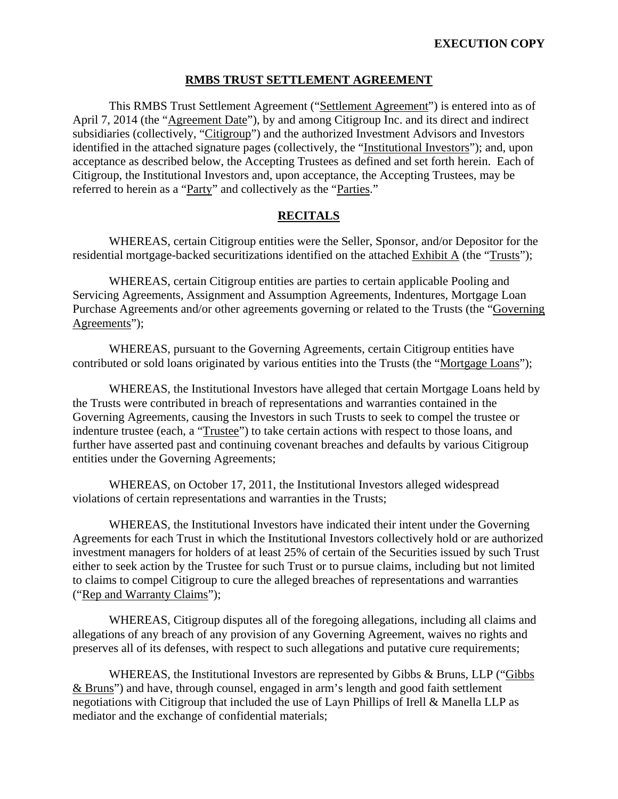#### **RMBS TRUST SETTLEMENT AGREEMENT**

This RMBS Trust Settlement Agreement ("Settlement Agreement") is entered into as of April 7, 2014 (the "Agreement Date"), by and among Citigroup Inc. and its direct and indirect subsidiaries (collectively, "Citigroup") and the authorized Investment Advisors and Investors identified in the attached signature pages (collectively, the "Institutional Investors"); and, upon acceptance as described below, the Accepting Trustees as defined and set forth herein. Each of Citigroup, the Institutional Investors and, upon acceptance, the Accepting Trustees, may be referred to herein as a "Party" and collectively as the "Parties."

#### **RECITALS**

WHEREAS, certain Citigroup entities were the Seller, Sponsor, and/or Depositor for the residential mortgage-backed securitizations identified on the attached Exhibit A (the "Trusts");

WHEREAS, certain Citigroup entities are parties to certain applicable Pooling and Servicing Agreements, Assignment and Assumption Agreements, Indentures, Mortgage Loan Purchase Agreements and/or other agreements governing or related to the Trusts (the "Governing Agreements");

WHEREAS, pursuant to the Governing Agreements, certain Citigroup entities have contributed or sold loans originated by various entities into the Trusts (the "Mortgage Loans");

WHEREAS, the Institutional Investors have alleged that certain Mortgage Loans held by the Trusts were contributed in breach of representations and warranties contained in the Governing Agreements, causing the Investors in such Trusts to seek to compel the trustee or indenture trustee (each, a "Trustee") to take certain actions with respect to those loans, and further have asserted past and continuing covenant breaches and defaults by various Citigroup entities under the Governing Agreements;

WHEREAS, on October 17, 2011, the Institutional Investors alleged widespread violations of certain representations and warranties in the Trusts;

WHEREAS, the Institutional Investors have indicated their intent under the Governing Agreements for each Trust in which the Institutional Investors collectively hold or are authorized investment managers for holders of at least 25% of certain of the Securities issued by such Trust either to seek action by the Trustee for such Trust or to pursue claims, including but not limited to claims to compel Citigroup to cure the alleged breaches of representations and warranties ("Rep and Warranty Claims");

WHEREAS, Citigroup disputes all of the foregoing allegations, including all claims and allegations of any breach of any provision of any Governing Agreement, waives no rights and preserves all of its defenses, with respect to such allegations and putative cure requirements;

WHEREAS, the Institutional Investors are represented by Gibbs & Bruns, LLP ("Gibbs & Bruns") and have, through counsel, engaged in arm's length and good faith settlement negotiations with Citigroup that included the use of Layn Phillips of Irell & Manella LLP as mediator and the exchange of confidential materials;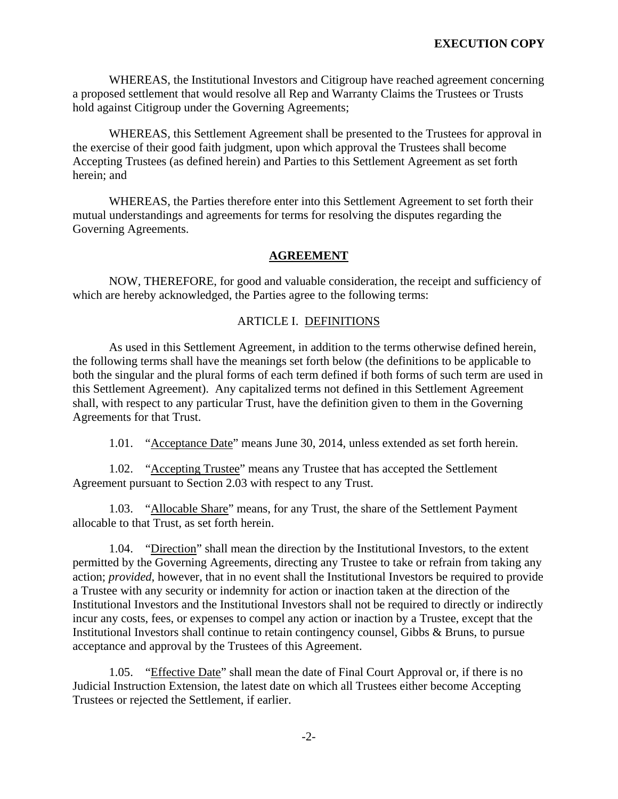WHEREAS, the Institutional Investors and Citigroup have reached agreement concerning a proposed settlement that would resolve all Rep and Warranty Claims the Trustees or Trusts hold against Citigroup under the Governing Agreements;

WHEREAS, this Settlement Agreement shall be presented to the Trustees for approval in the exercise of their good faith judgment, upon which approval the Trustees shall become Accepting Trustees (as defined herein) and Parties to this Settlement Agreement as set forth herein; and

WHEREAS, the Parties therefore enter into this Settlement Agreement to set forth their mutual understandings and agreements for terms for resolving the disputes regarding the Governing Agreements.

## **AGREEMENT**

NOW, THEREFORE, for good and valuable consideration, the receipt and sufficiency of which are hereby acknowledged, the Parties agree to the following terms:

### ARTICLE I. DEFINITIONS

As used in this Settlement Agreement, in addition to the terms otherwise defined herein, the following terms shall have the meanings set forth below (the definitions to be applicable to both the singular and the plural forms of each term defined if both forms of such term are used in this Settlement Agreement). Any capitalized terms not defined in this Settlement Agreement shall, with respect to any particular Trust, have the definition given to them in the Governing Agreements for that Trust.

1.01. "Acceptance Date" means June 30, 2014, unless extended as set forth herein.

1.02. "Accepting Trustee" means any Trustee that has accepted the Settlement Agreement pursuant to Section 2.03 with respect to any Trust.

1.03. "Allocable Share" means, for any Trust, the share of the Settlement Payment allocable to that Trust, as set forth herein.

1.04. "Direction" shall mean the direction by the Institutional Investors, to the extent permitted by the Governing Agreements, directing any Trustee to take or refrain from taking any action; *provided*, however, that in no event shall the Institutional Investors be required to provide a Trustee with any security or indemnity for action or inaction taken at the direction of the Institutional Investors and the Institutional Investors shall not be required to directly or indirectly incur any costs, fees, or expenses to compel any action or inaction by a Trustee, except that the Institutional Investors shall continue to retain contingency counsel, Gibbs & Bruns, to pursue acceptance and approval by the Trustees of this Agreement.

1.05. "Effective Date" shall mean the date of Final Court Approval or, if there is no Judicial Instruction Extension, the latest date on which all Trustees either become Accepting Trustees or rejected the Settlement, if earlier.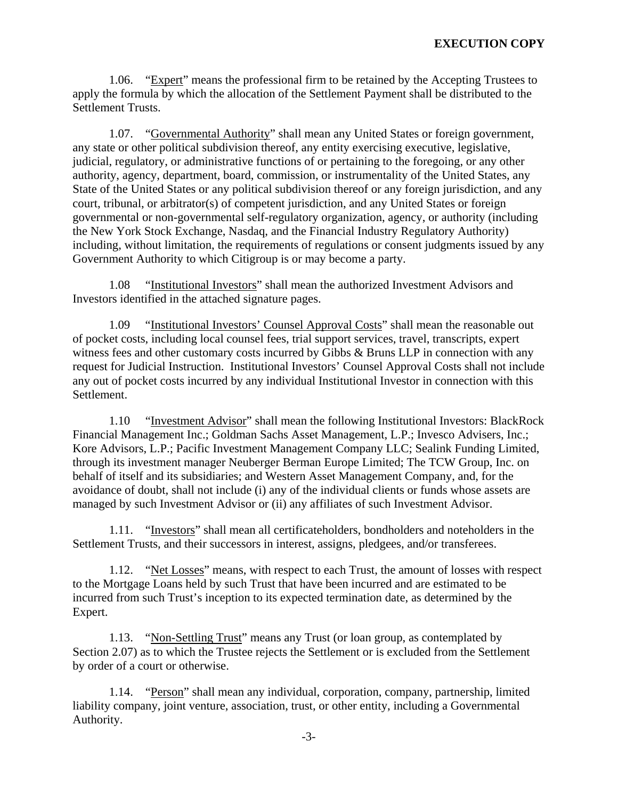1.06. "Expert" means the professional firm to be retained by the Accepting Trustees to apply the formula by which the allocation of the Settlement Payment shall be distributed to the Settlement Trusts.

1.07. "Governmental Authority" shall mean any United States or foreign government, any state or other political subdivision thereof, any entity exercising executive, legislative, judicial, regulatory, or administrative functions of or pertaining to the foregoing, or any other authority, agency, department, board, commission, or instrumentality of the United States, any State of the United States or any political subdivision thereof or any foreign jurisdiction, and any court, tribunal, or arbitrator(s) of competent jurisdiction, and any United States or foreign governmental or non-governmental self-regulatory organization, agency, or authority (including the New York Stock Exchange, Nasdaq, and the Financial Industry Regulatory Authority) including, without limitation, the requirements of regulations or consent judgments issued by any Government Authority to which Citigroup is or may become a party.

1.08 "Institutional Investors" shall mean the authorized Investment Advisors and Investors identified in the attached signature pages.

1.09 "Institutional Investors' Counsel Approval Costs" shall mean the reasonable out of pocket costs, including local counsel fees, trial support services, travel, transcripts, expert witness fees and other customary costs incurred by Gibbs & Bruns LLP in connection with any request for Judicial Instruction. Institutional Investors' Counsel Approval Costs shall not include any out of pocket costs incurred by any individual Institutional Investor in connection with this Settlement.

1.10 "Investment Advisor" shall mean the following Institutional Investors: BlackRock Financial Management Inc.; Goldman Sachs Asset Management, L.P.; Invesco Advisers, Inc.; Kore Advisors, L.P.; Pacific Investment Management Company LLC; Sealink Funding Limited, through its investment manager Neuberger Berman Europe Limited; The TCW Group, Inc. on behalf of itself and its subsidiaries; and Western Asset Management Company, and, for the avoidance of doubt, shall not include (i) any of the individual clients or funds whose assets are managed by such Investment Advisor or (ii) any affiliates of such Investment Advisor.

1.11. "Investors" shall mean all certificateholders, bondholders and noteholders in the Settlement Trusts, and their successors in interest, assigns, pledgees, and/or transferees.

1.12. "Net Losses" means, with respect to each Trust, the amount of losses with respect to the Mortgage Loans held by such Trust that have been incurred and are estimated to be incurred from such Trust's inception to its expected termination date, as determined by the Expert.

1.13. "Non-Settling Trust" means any Trust (or loan group, as contemplated by Section 2.07) as to which the Trustee rejects the Settlement or is excluded from the Settlement by order of a court or otherwise.

1.14. "Person" shall mean any individual, corporation, company, partnership, limited liability company, joint venture, association, trust, or other entity, including a Governmental Authority.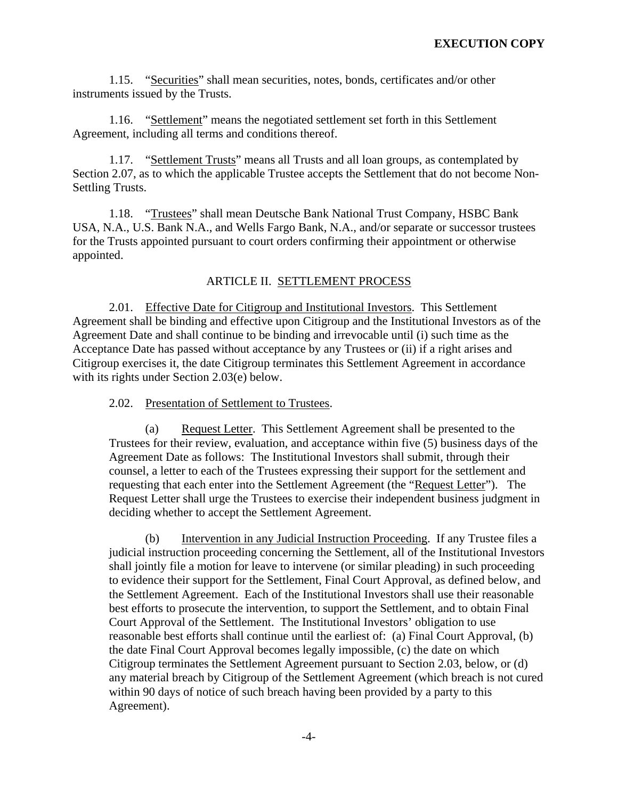1.15. "Securities" shall mean securities, notes, bonds, certificates and/or other instruments issued by the Trusts.

1.16. "Settlement" means the negotiated settlement set forth in this Settlement Agreement, including all terms and conditions thereof.

1.17. "Settlement Trusts" means all Trusts and all loan groups, as contemplated by Section 2.07, as to which the applicable Trustee accepts the Settlement that do not become Non-Settling Trusts.

1.18. "Trustees" shall mean Deutsche Bank National Trust Company, HSBC Bank USA, N.A., U.S. Bank N.A., and Wells Fargo Bank, N.A., and/or separate or successor trustees for the Trusts appointed pursuant to court orders confirming their appointment or otherwise appointed.

#### ARTICLE II. SETTLEMENT PROCESS

2.01. Effective Date for Citigroup and Institutional Investors. This Settlement Agreement shall be binding and effective upon Citigroup and the Institutional Investors as of the Agreement Date and shall continue to be binding and irrevocable until (i) such time as the Acceptance Date has passed without acceptance by any Trustees or (ii) if a right arises and Citigroup exercises it, the date Citigroup terminates this Settlement Agreement in accordance with its rights under Section 2.03(e) below.

2.02. Presentation of Settlement to Trustees.

(a) Request Letter. This Settlement Agreement shall be presented to the Trustees for their review, evaluation, and acceptance within five (5) business days of the Agreement Date as follows: The Institutional Investors shall submit, through their counsel, a letter to each of the Trustees expressing their support for the settlement and requesting that each enter into the Settlement Agreement (the "Request Letter"). The Request Letter shall urge the Trustees to exercise their independent business judgment in deciding whether to accept the Settlement Agreement.

(b) Intervention in any Judicial Instruction Proceeding. If any Trustee files a judicial instruction proceeding concerning the Settlement, all of the Institutional Investors shall jointly file a motion for leave to intervene (or similar pleading) in such proceeding to evidence their support for the Settlement, Final Court Approval, as defined below, and the Settlement Agreement. Each of the Institutional Investors shall use their reasonable best efforts to prosecute the intervention, to support the Settlement, and to obtain Final Court Approval of the Settlement. The Institutional Investors' obligation to use reasonable best efforts shall continue until the earliest of: (a) Final Court Approval, (b) the date Final Court Approval becomes legally impossible, (c) the date on which Citigroup terminates the Settlement Agreement pursuant to Section 2.03, below, or (d) any material breach by Citigroup of the Settlement Agreement (which breach is not cured within 90 days of notice of such breach having been provided by a party to this Agreement).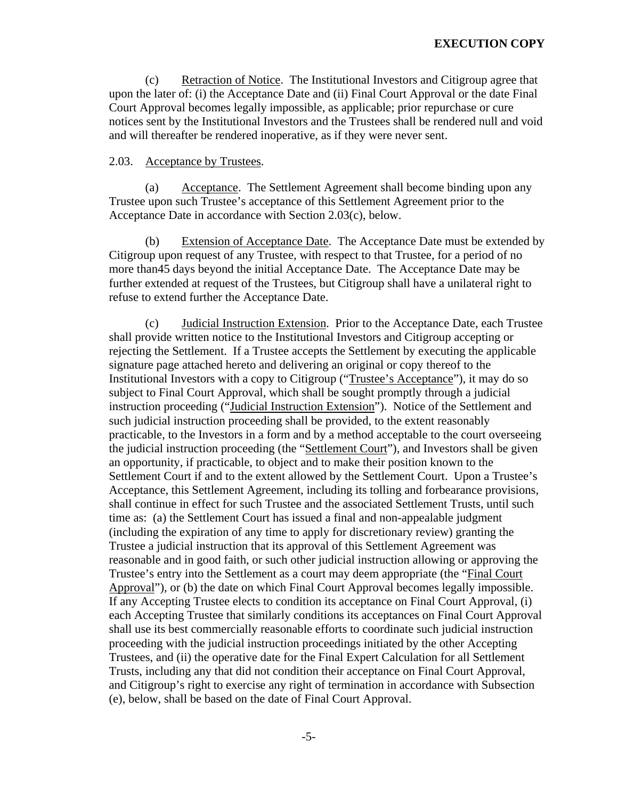(c) Retraction of Notice. The Institutional Investors and Citigroup agree that upon the later of: (i) the Acceptance Date and (ii) Final Court Approval or the date Final Court Approval becomes legally impossible, as applicable; prior repurchase or cure notices sent by the Institutional Investors and the Trustees shall be rendered null and void and will thereafter be rendered inoperative, as if they were never sent.

#### 2.03. Acceptance by Trustees.

(a) Acceptance. The Settlement Agreement shall become binding upon any Trustee upon such Trustee's acceptance of this Settlement Agreement prior to the Acceptance Date in accordance with Section 2.03(c), below.

(b) Extension of Acceptance Date. The Acceptance Date must be extended by Citigroup upon request of any Trustee, with respect to that Trustee, for a period of no more than45 days beyond the initial Acceptance Date. The Acceptance Date may be further extended at request of the Trustees, but Citigroup shall have a unilateral right to refuse to extend further the Acceptance Date.

(c) Judicial Instruction Extension. Prior to the Acceptance Date, each Trustee shall provide written notice to the Institutional Investors and Citigroup accepting or rejecting the Settlement. If a Trustee accepts the Settlement by executing the applicable signature page attached hereto and delivering an original or copy thereof to the Institutional Investors with a copy to Citigroup ("Trustee's Acceptance"), it may do so subject to Final Court Approval, which shall be sought promptly through a judicial instruction proceeding ("Judicial Instruction Extension"). Notice of the Settlement and such judicial instruction proceeding shall be provided, to the extent reasonably practicable, to the Investors in a form and by a method acceptable to the court overseeing the judicial instruction proceeding (the "Settlement Court"), and Investors shall be given an opportunity, if practicable, to object and to make their position known to the Settlement Court if and to the extent allowed by the Settlement Court. Upon a Trustee's Acceptance, this Settlement Agreement, including its tolling and forbearance provisions, shall continue in effect for such Trustee and the associated Settlement Trusts, until such time as: (a) the Settlement Court has issued a final and non-appealable judgment (including the expiration of any time to apply for discretionary review) granting the Trustee a judicial instruction that its approval of this Settlement Agreement was reasonable and in good faith, or such other judicial instruction allowing or approving the Trustee's entry into the Settlement as a court may deem appropriate (the "Final Court Approval"), or (b) the date on which Final Court Approval becomes legally impossible. If any Accepting Trustee elects to condition its acceptance on Final Court Approval, (i) each Accepting Trustee that similarly conditions its acceptances on Final Court Approval shall use its best commercially reasonable efforts to coordinate such judicial instruction proceeding with the judicial instruction proceedings initiated by the other Accepting Trustees, and (ii) the operative date for the Final Expert Calculation for all Settlement Trusts, including any that did not condition their acceptance on Final Court Approval, and Citigroup's right to exercise any right of termination in accordance with Subsection (e), below, shall be based on the date of Final Court Approval.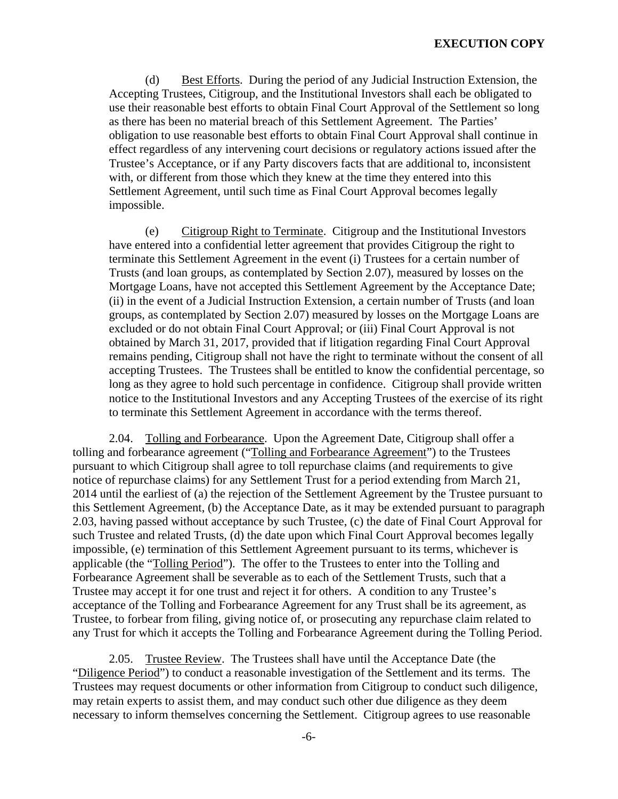(d) Best Efforts. During the period of any Judicial Instruction Extension, the Accepting Trustees, Citigroup, and the Institutional Investors shall each be obligated to use their reasonable best efforts to obtain Final Court Approval of the Settlement so long as there has been no material breach of this Settlement Agreement. The Parties' obligation to use reasonable best efforts to obtain Final Court Approval shall continue in effect regardless of any intervening court decisions or regulatory actions issued after the Trustee's Acceptance, or if any Party discovers facts that are additional to, inconsistent with, or different from those which they knew at the time they entered into this Settlement Agreement, until such time as Final Court Approval becomes legally impossible.

(e) Citigroup Right to Terminate. Citigroup and the Institutional Investors have entered into a confidential letter agreement that provides Citigroup the right to terminate this Settlement Agreement in the event (i) Trustees for a certain number of Trusts (and loan groups, as contemplated by Section 2.07), measured by losses on the Mortgage Loans, have not accepted this Settlement Agreement by the Acceptance Date; (ii) in the event of a Judicial Instruction Extension, a certain number of Trusts (and loan groups, as contemplated by Section 2.07) measured by losses on the Mortgage Loans are excluded or do not obtain Final Court Approval; or (iii) Final Court Approval is not obtained by March 31, 2017, provided that if litigation regarding Final Court Approval remains pending, Citigroup shall not have the right to terminate without the consent of all accepting Trustees. The Trustees shall be entitled to know the confidential percentage, so long as they agree to hold such percentage in confidence. Citigroup shall provide written notice to the Institutional Investors and any Accepting Trustees of the exercise of its right to terminate this Settlement Agreement in accordance with the terms thereof.

2.04. Tolling and Forbearance. Upon the Agreement Date, Citigroup shall offer a tolling and forbearance agreement ("Tolling and Forbearance Agreement") to the Trustees pursuant to which Citigroup shall agree to toll repurchase claims (and requirements to give notice of repurchase claims) for any Settlement Trust for a period extending from March 21, 2014 until the earliest of (a) the rejection of the Settlement Agreement by the Trustee pursuant to this Settlement Agreement, (b) the Acceptance Date, as it may be extended pursuant to paragraph 2.03, having passed without acceptance by such Trustee, (c) the date of Final Court Approval for such Trustee and related Trusts, (d) the date upon which Final Court Approval becomes legally impossible, (e) termination of this Settlement Agreement pursuant to its terms, whichever is applicable (the "Tolling Period"). The offer to the Trustees to enter into the Tolling and Forbearance Agreement shall be severable as to each of the Settlement Trusts, such that a Trustee may accept it for one trust and reject it for others. A condition to any Trustee's acceptance of the Tolling and Forbearance Agreement for any Trust shall be its agreement, as Trustee, to forbear from filing, giving notice of, or prosecuting any repurchase claim related to any Trust for which it accepts the Tolling and Forbearance Agreement during the Tolling Period.

2.05. Trustee Review. The Trustees shall have until the Acceptance Date (the "Diligence Period") to conduct a reasonable investigation of the Settlement and its terms. The Trustees may request documents or other information from Citigroup to conduct such diligence, may retain experts to assist them, and may conduct such other due diligence as they deem necessary to inform themselves concerning the Settlement. Citigroup agrees to use reasonable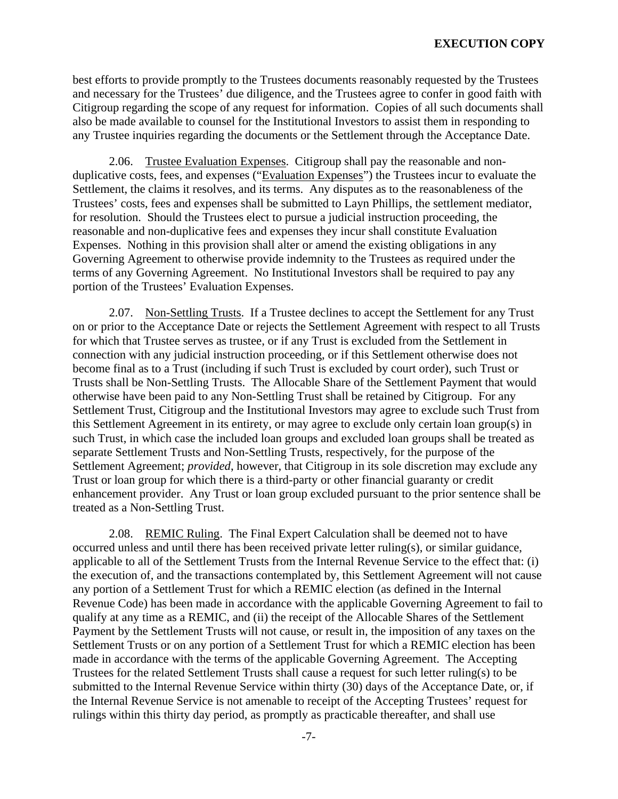best efforts to provide promptly to the Trustees documents reasonably requested by the Trustees and necessary for the Trustees' due diligence, and the Trustees agree to confer in good faith with Citigroup regarding the scope of any request for information. Copies of all such documents shall also be made available to counsel for the Institutional Investors to assist them in responding to any Trustee inquiries regarding the documents or the Settlement through the Acceptance Date.

2.06. Trustee Evaluation Expenses. Citigroup shall pay the reasonable and nonduplicative costs, fees, and expenses ("Evaluation Expenses") the Trustees incur to evaluate the Settlement, the claims it resolves, and its terms. Any disputes as to the reasonableness of the Trustees' costs, fees and expenses shall be submitted to Layn Phillips, the settlement mediator, for resolution. Should the Trustees elect to pursue a judicial instruction proceeding, the reasonable and non-duplicative fees and expenses they incur shall constitute Evaluation Expenses. Nothing in this provision shall alter or amend the existing obligations in any Governing Agreement to otherwise provide indemnity to the Trustees as required under the terms of any Governing Agreement. No Institutional Investors shall be required to pay any portion of the Trustees' Evaluation Expenses.

2.07. Non-Settling Trusts. If a Trustee declines to accept the Settlement for any Trust on or prior to the Acceptance Date or rejects the Settlement Agreement with respect to all Trusts for which that Trustee serves as trustee, or if any Trust is excluded from the Settlement in connection with any judicial instruction proceeding, or if this Settlement otherwise does not become final as to a Trust (including if such Trust is excluded by court order), such Trust or Trusts shall be Non-Settling Trusts. The Allocable Share of the Settlement Payment that would otherwise have been paid to any Non-Settling Trust shall be retained by Citigroup. For any Settlement Trust, Citigroup and the Institutional Investors may agree to exclude such Trust from this Settlement Agreement in its entirety, or may agree to exclude only certain loan group(s) in such Trust, in which case the included loan groups and excluded loan groups shall be treated as separate Settlement Trusts and Non-Settling Trusts, respectively, for the purpose of the Settlement Agreement; *provided*, however, that Citigroup in its sole discretion may exclude any Trust or loan group for which there is a third-party or other financial guaranty or credit enhancement provider. Any Trust or loan group excluded pursuant to the prior sentence shall be treated as a Non-Settling Trust.

2.08. REMIC Ruling. The Final Expert Calculation shall be deemed not to have occurred unless and until there has been received private letter ruling(s), or similar guidance, applicable to all of the Settlement Trusts from the Internal Revenue Service to the effect that: (i) the execution of, and the transactions contemplated by, this Settlement Agreement will not cause any portion of a Settlement Trust for which a REMIC election (as defined in the Internal Revenue Code) has been made in accordance with the applicable Governing Agreement to fail to qualify at any time as a REMIC, and (ii) the receipt of the Allocable Shares of the Settlement Payment by the Settlement Trusts will not cause, or result in, the imposition of any taxes on the Settlement Trusts or on any portion of a Settlement Trust for which a REMIC election has been made in accordance with the terms of the applicable Governing Agreement. The Accepting Trustees for the related Settlement Trusts shall cause a request for such letter ruling(s) to be submitted to the Internal Revenue Service within thirty (30) days of the Acceptance Date, or, if the Internal Revenue Service is not amenable to receipt of the Accepting Trustees' request for rulings within this thirty day period, as promptly as practicable thereafter, and shall use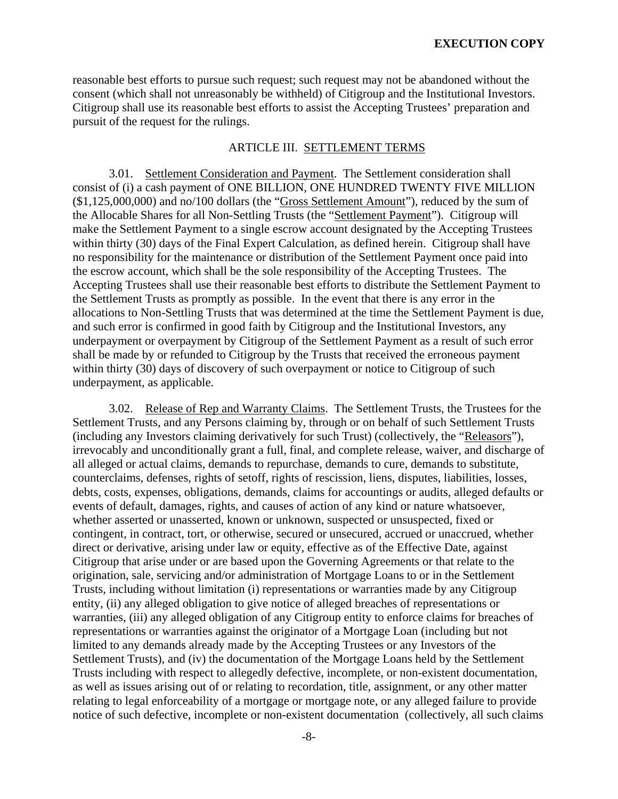reasonable best efforts to pursue such request; such request may not be abandoned without the consent (which shall not unreasonably be withheld) of Citigroup and the Institutional Investors. Citigroup shall use its reasonable best efforts to assist the Accepting Trustees' preparation and pursuit of the request for the rulings.

## ARTICLE III. SETTLEMENT TERMS

3.01. Settlement Consideration and Payment. The Settlement consideration shall consist of (i) a cash payment of ONE BILLION, ONE HUNDRED TWENTY FIVE MILLION (\$1,125,000,000) and no/100 dollars (the "Gross Settlement Amount"), reduced by the sum of the Allocable Shares for all Non-Settling Trusts (the "Settlement Payment"). Citigroup will make the Settlement Payment to a single escrow account designated by the Accepting Trustees within thirty (30) days of the Final Expert Calculation, as defined herein. Citigroup shall have no responsibility for the maintenance or distribution of the Settlement Payment once paid into the escrow account, which shall be the sole responsibility of the Accepting Trustees. The Accepting Trustees shall use their reasonable best efforts to distribute the Settlement Payment to the Settlement Trusts as promptly as possible. In the event that there is any error in the allocations to Non-Settling Trusts that was determined at the time the Settlement Payment is due, and such error is confirmed in good faith by Citigroup and the Institutional Investors, any underpayment or overpayment by Citigroup of the Settlement Payment as a result of such error shall be made by or refunded to Citigroup by the Trusts that received the erroneous payment within thirty (30) days of discovery of such overpayment or notice to Citigroup of such underpayment, as applicable.

3.02. Release of Rep and Warranty Claims. The Settlement Trusts, the Trustees for the Settlement Trusts, and any Persons claiming by, through or on behalf of such Settlement Trusts (including any Investors claiming derivatively for such Trust) (collectively, the "Releasors"), irrevocably and unconditionally grant a full, final, and complete release, waiver, and discharge of all alleged or actual claims, demands to repurchase, demands to cure, demands to substitute, counterclaims, defenses, rights of setoff, rights of rescission, liens, disputes, liabilities, losses, debts, costs, expenses, obligations, demands, claims for accountings or audits, alleged defaults or events of default, damages, rights, and causes of action of any kind or nature whatsoever, whether asserted or unasserted, known or unknown, suspected or unsuspected, fixed or contingent, in contract, tort, or otherwise, secured or unsecured, accrued or unaccrued, whether direct or derivative, arising under law or equity, effective as of the Effective Date, against Citigroup that arise under or are based upon the Governing Agreements or that relate to the origination, sale, servicing and/or administration of Mortgage Loans to or in the Settlement Trusts, including without limitation (i) representations or warranties made by any Citigroup entity, (ii) any alleged obligation to give notice of alleged breaches of representations or warranties, (iii) any alleged obligation of any Citigroup entity to enforce claims for breaches of representations or warranties against the originator of a Mortgage Loan (including but not limited to any demands already made by the Accepting Trustees or any Investors of the Settlement Trusts), and (iv) the documentation of the Mortgage Loans held by the Settlement Trusts including with respect to allegedly defective, incomplete, or non-existent documentation, as well as issues arising out of or relating to recordation, title, assignment, or any other matter relating to legal enforceability of a mortgage or mortgage note, or any alleged failure to provide notice of such defective, incomplete or non-existent documentation (collectively, all such claims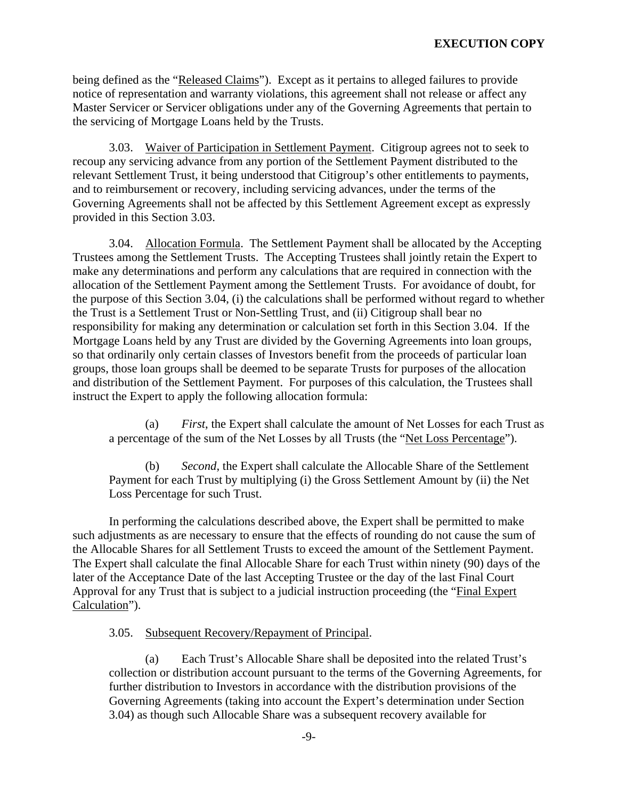being defined as the "Released Claims"). Except as it pertains to alleged failures to provide notice of representation and warranty violations, this agreement shall not release or affect any Master Servicer or Servicer obligations under any of the Governing Agreements that pertain to the servicing of Mortgage Loans held by the Trusts.

3.03. Waiver of Participation in Settlement Payment. Citigroup agrees not to seek to recoup any servicing advance from any portion of the Settlement Payment distributed to the relevant Settlement Trust, it being understood that Citigroup's other entitlements to payments, and to reimbursement or recovery, including servicing advances, under the terms of the Governing Agreements shall not be affected by this Settlement Agreement except as expressly provided in this Section 3.03.

 3.04. Allocation Formula. The Settlement Payment shall be allocated by the Accepting Trustees among the Settlement Trusts. The Accepting Trustees shall jointly retain the Expert to make any determinations and perform any calculations that are required in connection with the allocation of the Settlement Payment among the Settlement Trusts. For avoidance of doubt, for the purpose of this Section 3.04, (i) the calculations shall be performed without regard to whether the Trust is a Settlement Trust or Non-Settling Trust, and (ii) Citigroup shall bear no responsibility for making any determination or calculation set forth in this Section 3.04. If the Mortgage Loans held by any Trust are divided by the Governing Agreements into loan groups, so that ordinarily only certain classes of Investors benefit from the proceeds of particular loan groups, those loan groups shall be deemed to be separate Trusts for purposes of the allocation and distribution of the Settlement Payment. For purposes of this calculation, the Trustees shall instruct the Expert to apply the following allocation formula:

(a) *First*, the Expert shall calculate the amount of Net Losses for each Trust as a percentage of the sum of the Net Losses by all Trusts (the "Net Loss Percentage").

Second, the Expert shall calculate the Allocable Share of the Settlement Payment for each Trust by multiplying (i) the Gross Settlement Amount by (ii) the Net Loss Percentage for such Trust.

In performing the calculations described above, the Expert shall be permitted to make such adjustments as are necessary to ensure that the effects of rounding do not cause the sum of the Allocable Shares for all Settlement Trusts to exceed the amount of the Settlement Payment. The Expert shall calculate the final Allocable Share for each Trust within ninety (90) days of the later of the Acceptance Date of the last Accepting Trustee or the day of the last Final Court Approval for any Trust that is subject to a judicial instruction proceeding (the "Final Expert Calculation").

3.05. Subsequent Recovery/Repayment of Principal.

 (a) Each Trust's Allocable Share shall be deposited into the related Trust's collection or distribution account pursuant to the terms of the Governing Agreements, for further distribution to Investors in accordance with the distribution provisions of the Governing Agreements (taking into account the Expert's determination under Section 3.04) as though such Allocable Share was a subsequent recovery available for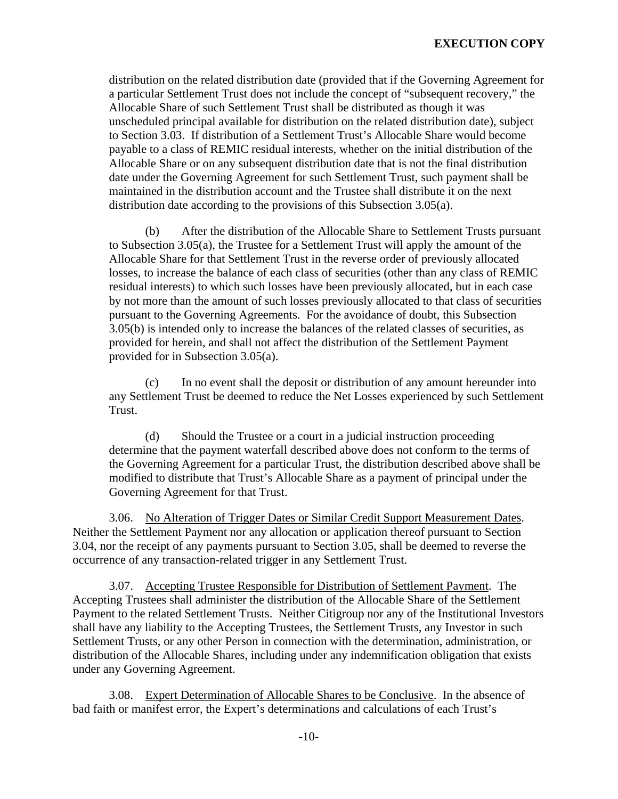distribution on the related distribution date (provided that if the Governing Agreement for a particular Settlement Trust does not include the concept of "subsequent recovery," the Allocable Share of such Settlement Trust shall be distributed as though it was unscheduled principal available for distribution on the related distribution date), subject to Section 3.03. If distribution of a Settlement Trust's Allocable Share would become payable to a class of REMIC residual interests, whether on the initial distribution of the Allocable Share or on any subsequent distribution date that is not the final distribution date under the Governing Agreement for such Settlement Trust, such payment shall be maintained in the distribution account and the Trustee shall distribute it on the next distribution date according to the provisions of this Subsection 3.05(a).

(b) After the distribution of the Allocable Share to Settlement Trusts pursuant to Subsection 3.05(a), the Trustee for a Settlement Trust will apply the amount of the Allocable Share for that Settlement Trust in the reverse order of previously allocated losses, to increase the balance of each class of securities (other than any class of REMIC residual interests) to which such losses have been previously allocated, but in each case by not more than the amount of such losses previously allocated to that class of securities pursuant to the Governing Agreements. For the avoidance of doubt, this Subsection 3.05(b) is intended only to increase the balances of the related classes of securities, as provided for herein, and shall not affect the distribution of the Settlement Payment provided for in Subsection 3.05(a).

(c) In no event shall the deposit or distribution of any amount hereunder into any Settlement Trust be deemed to reduce the Net Losses experienced by such Settlement Trust.

(d) Should the Trustee or a court in a judicial instruction proceeding determine that the payment waterfall described above does not conform to the terms of the Governing Agreement for a particular Trust, the distribution described above shall be modified to distribute that Trust's Allocable Share as a payment of principal under the Governing Agreement for that Trust.

3.06. No Alteration of Trigger Dates or Similar Credit Support Measurement Dates. Neither the Settlement Payment nor any allocation or application thereof pursuant to Section 3.04, nor the receipt of any payments pursuant to Section 3.05, shall be deemed to reverse the occurrence of any transaction-related trigger in any Settlement Trust.

3.07. Accepting Trustee Responsible for Distribution of Settlement Payment. The Accepting Trustees shall administer the distribution of the Allocable Share of the Settlement Payment to the related Settlement Trusts. Neither Citigroup nor any of the Institutional Investors shall have any liability to the Accepting Trustees, the Settlement Trusts, any Investor in such Settlement Trusts, or any other Person in connection with the determination, administration, or distribution of the Allocable Shares, including under any indemnification obligation that exists under any Governing Agreement.

3.08. Expert Determination of Allocable Shares to be Conclusive. In the absence of bad faith or manifest error, the Expert's determinations and calculations of each Trust's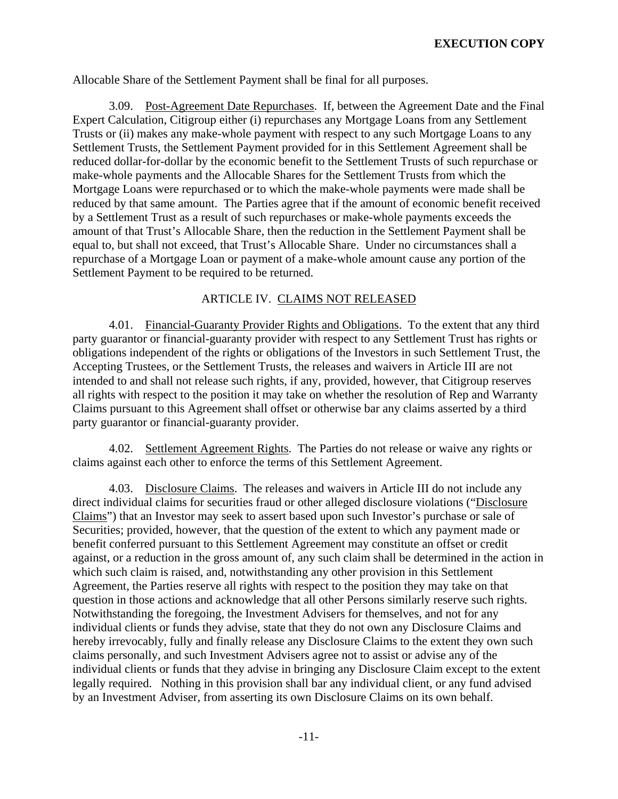Allocable Share of the Settlement Payment shall be final for all purposes.

3.09. Post-Agreement Date Repurchases. If, between the Agreement Date and the Final Expert Calculation, Citigroup either (i) repurchases any Mortgage Loans from any Settlement Trusts or (ii) makes any make-whole payment with respect to any such Mortgage Loans to any Settlement Trusts, the Settlement Payment provided for in this Settlement Agreement shall be reduced dollar-for-dollar by the economic benefit to the Settlement Trusts of such repurchase or make-whole payments and the Allocable Shares for the Settlement Trusts from which the Mortgage Loans were repurchased or to which the make-whole payments were made shall be reduced by that same amount. The Parties agree that if the amount of economic benefit received by a Settlement Trust as a result of such repurchases or make-whole payments exceeds the amount of that Trust's Allocable Share, then the reduction in the Settlement Payment shall be equal to, but shall not exceed, that Trust's Allocable Share. Under no circumstances shall a repurchase of a Mortgage Loan or payment of a make-whole amount cause any portion of the Settlement Payment to be required to be returned.

## ARTICLE IV. CLAIMS NOT RELEASED

4.01. Financial-Guaranty Provider Rights and Obligations. To the extent that any third party guarantor or financial-guaranty provider with respect to any Settlement Trust has rights or obligations independent of the rights or obligations of the Investors in such Settlement Trust, the Accepting Trustees, or the Settlement Trusts, the releases and waivers in Article III are not intended to and shall not release such rights, if any, provided, however, that Citigroup reserves all rights with respect to the position it may take on whether the resolution of Rep and Warranty Claims pursuant to this Agreement shall offset or otherwise bar any claims asserted by a third party guarantor or financial-guaranty provider.

4.02. Settlement Agreement Rights. The Parties do not release or waive any rights or claims against each other to enforce the terms of this Settlement Agreement.

4.03. Disclosure Claims. The releases and waivers in Article III do not include any direct individual claims for securities fraud or other alleged disclosure violations ("Disclosure Claims") that an Investor may seek to assert based upon such Investor's purchase or sale of Securities; provided, however, that the question of the extent to which any payment made or benefit conferred pursuant to this Settlement Agreement may constitute an offset or credit against, or a reduction in the gross amount of, any such claim shall be determined in the action in which such claim is raised, and, notwithstanding any other provision in this Settlement Agreement, the Parties reserve all rights with respect to the position they may take on that question in those actions and acknowledge that all other Persons similarly reserve such rights. Notwithstanding the foregoing, the Investment Advisers for themselves, and not for any individual clients or funds they advise, state that they do not own any Disclosure Claims and hereby irrevocably, fully and finally release any Disclosure Claims to the extent they own such claims personally, and such Investment Advisers agree not to assist or advise any of the individual clients or funds that they advise in bringing any Disclosure Claim except to the extent legally required. Nothing in this provision shall bar any individual client, or any fund advised by an Investment Adviser, from asserting its own Disclosure Claims on its own behalf.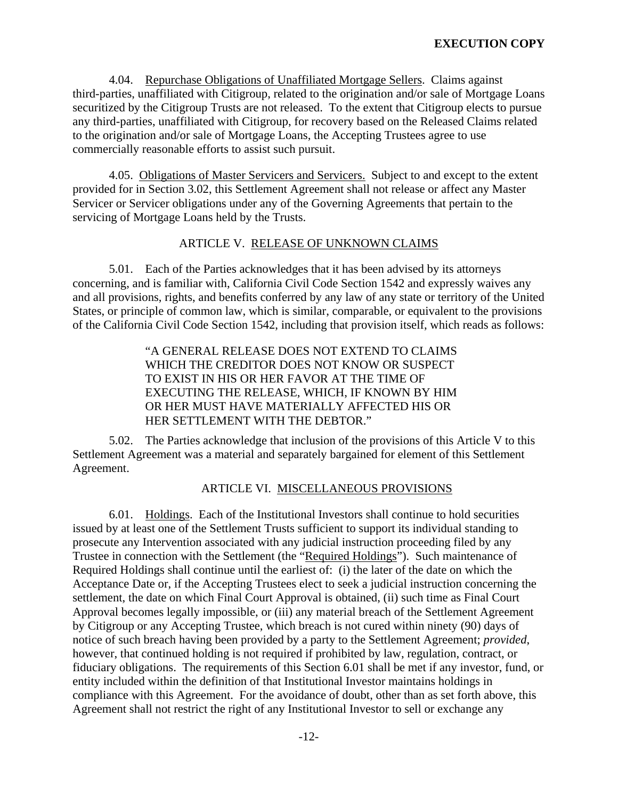4.04. Repurchase Obligations of Unaffiliated Mortgage Sellers. Claims against third-parties, unaffiliated with Citigroup, related to the origination and/or sale of Mortgage Loans securitized by the Citigroup Trusts are not released. To the extent that Citigroup elects to pursue any third-parties, unaffiliated with Citigroup, for recovery based on the Released Claims related to the origination and/or sale of Mortgage Loans, the Accepting Trustees agree to use commercially reasonable efforts to assist such pursuit.

4.05. Obligations of Master Servicers and Servicers. Subject to and except to the extent provided for in Section 3.02, this Settlement Agreement shall not release or affect any Master Servicer or Servicer obligations under any of the Governing Agreements that pertain to the servicing of Mortgage Loans held by the Trusts.

#### ARTICLE V. RELEASE OF UNKNOWN CLAIMS

5.01. Each of the Parties acknowledges that it has been advised by its attorneys concerning, and is familiar with, California Civil Code Section 1542 and expressly waives any and all provisions, rights, and benefits conferred by any law of any state or territory of the United States, or principle of common law, which is similar, comparable, or equivalent to the provisions of the California Civil Code Section 1542, including that provision itself, which reads as follows:

> "A GENERAL RELEASE DOES NOT EXTEND TO CLAIMS WHICH THE CREDITOR DOES NOT KNOW OR SUSPECT TO EXIST IN HIS OR HER FAVOR AT THE TIME OF EXECUTING THE RELEASE, WHICH, IF KNOWN BY HIM OR HER MUST HAVE MATERIALLY AFFECTED HIS OR HER SETTLEMENT WITH THE DEBTOR."

 5.02. The Parties acknowledge that inclusion of the provisions of this Article V to this Settlement Agreement was a material and separately bargained for element of this Settlement Agreement.

### ARTICLE VI. MISCELLANEOUS PROVISIONS

6.01. Holdings. Each of the Institutional Investors shall continue to hold securities issued by at least one of the Settlement Trusts sufficient to support its individual standing to prosecute any Intervention associated with any judicial instruction proceeding filed by any Trustee in connection with the Settlement (the "Required Holdings"). Such maintenance of Required Holdings shall continue until the earliest of: (i) the later of the date on which the Acceptance Date or, if the Accepting Trustees elect to seek a judicial instruction concerning the settlement, the date on which Final Court Approval is obtained, (ii) such time as Final Court Approval becomes legally impossible, or (iii) any material breach of the Settlement Agreement by Citigroup or any Accepting Trustee, which breach is not cured within ninety (90) days of notice of such breach having been provided by a party to the Settlement Agreement; *provided*, however, that continued holding is not required if prohibited by law, regulation, contract, or fiduciary obligations. The requirements of this Section 6.01 shall be met if any investor, fund, or entity included within the definition of that Institutional Investor maintains holdings in compliance with this Agreement. For the avoidance of doubt, other than as set forth above, this Agreement shall not restrict the right of any Institutional Investor to sell or exchange any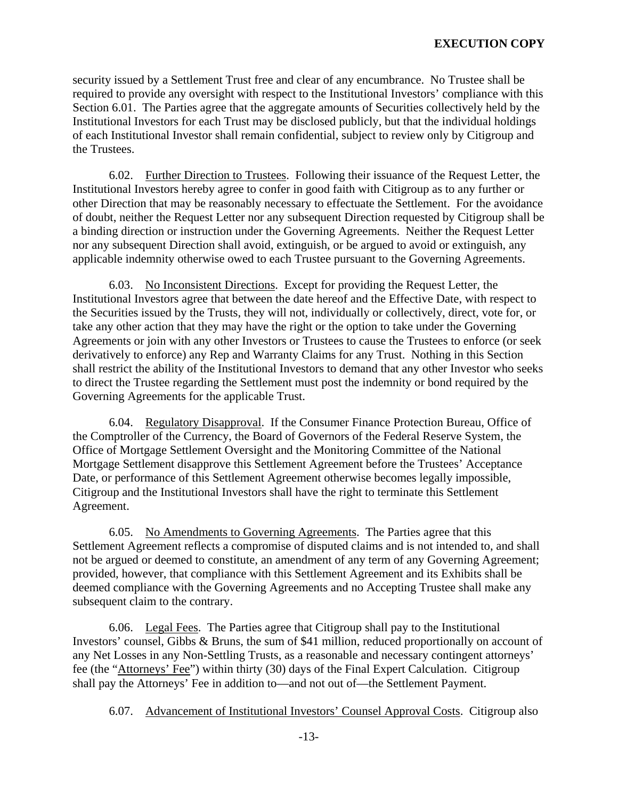security issued by a Settlement Trust free and clear of any encumbrance. No Trustee shall be required to provide any oversight with respect to the Institutional Investors' compliance with this Section 6.01. The Parties agree that the aggregate amounts of Securities collectively held by the Institutional Investors for each Trust may be disclosed publicly, but that the individual holdings of each Institutional Investor shall remain confidential, subject to review only by Citigroup and the Trustees.

6.02. Further Direction to Trustees. Following their issuance of the Request Letter, the Institutional Investors hereby agree to confer in good faith with Citigroup as to any further or other Direction that may be reasonably necessary to effectuate the Settlement. For the avoidance of doubt, neither the Request Letter nor any subsequent Direction requested by Citigroup shall be a binding direction or instruction under the Governing Agreements. Neither the Request Letter nor any subsequent Direction shall avoid, extinguish, or be argued to avoid or extinguish, any applicable indemnity otherwise owed to each Trustee pursuant to the Governing Agreements.

6.03. No Inconsistent Directions. Except for providing the Request Letter, the Institutional Investors agree that between the date hereof and the Effective Date, with respect to the Securities issued by the Trusts, they will not, individually or collectively, direct, vote for, or take any other action that they may have the right or the option to take under the Governing Agreements or join with any other Investors or Trustees to cause the Trustees to enforce (or seek derivatively to enforce) any Rep and Warranty Claims for any Trust. Nothing in this Section shall restrict the ability of the Institutional Investors to demand that any other Investor who seeks to direct the Trustee regarding the Settlement must post the indemnity or bond required by the Governing Agreements for the applicable Trust.

6.04. Regulatory Disapproval. If the Consumer Finance Protection Bureau, Office of the Comptroller of the Currency, the Board of Governors of the Federal Reserve System, the Office of Mortgage Settlement Oversight and the Monitoring Committee of the National Mortgage Settlement disapprove this Settlement Agreement before the Trustees' Acceptance Date, or performance of this Settlement Agreement otherwise becomes legally impossible, Citigroup and the Institutional Investors shall have the right to terminate this Settlement Agreement.

6.05. No Amendments to Governing Agreements. The Parties agree that this Settlement Agreement reflects a compromise of disputed claims and is not intended to, and shall not be argued or deemed to constitute, an amendment of any term of any Governing Agreement; provided, however, that compliance with this Settlement Agreement and its Exhibits shall be deemed compliance with the Governing Agreements and no Accepting Trustee shall make any subsequent claim to the contrary.

 6.06. Legal Fees. The Parties agree that Citigroup shall pay to the Institutional Investors' counsel, Gibbs & Bruns, the sum of \$41 million, reduced proportionally on account of any Net Losses in any Non-Settling Trusts, as a reasonable and necessary contingent attorneys' fee (the "Attorneys' Fee") within thirty (30) days of the Final Expert Calculation. Citigroup shall pay the Attorneys' Fee in addition to—and not out of—the Settlement Payment.

6.07. Advancement of Institutional Investors' Counsel Approval Costs. Citigroup also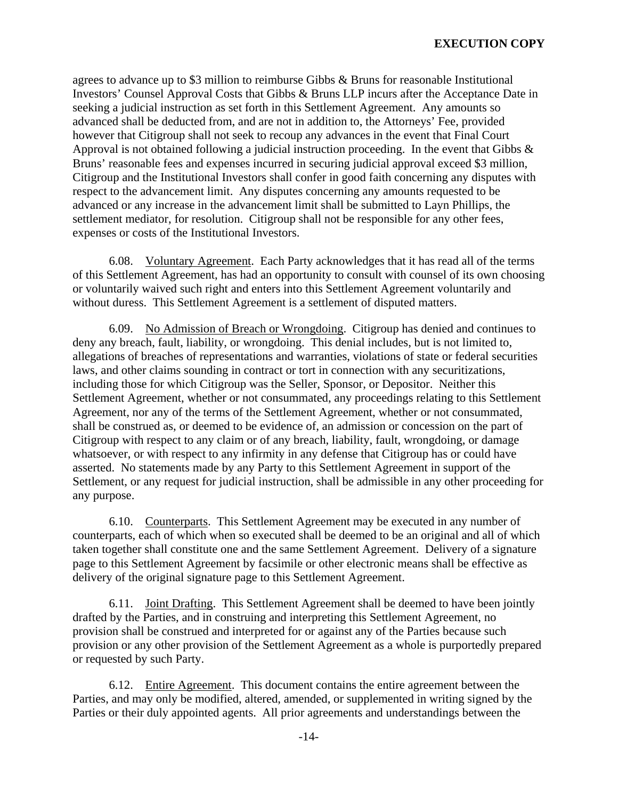agrees to advance up to \$3 million to reimburse Gibbs & Bruns for reasonable Institutional Investors' Counsel Approval Costs that Gibbs & Bruns LLP incurs after the Acceptance Date in seeking a judicial instruction as set forth in this Settlement Agreement. Any amounts so advanced shall be deducted from, and are not in addition to, the Attorneys' Fee, provided however that Citigroup shall not seek to recoup any advances in the event that Final Court Approval is not obtained following a judicial instruction proceeding. In the event that Gibbs & Bruns' reasonable fees and expenses incurred in securing judicial approval exceed \$3 million, Citigroup and the Institutional Investors shall confer in good faith concerning any disputes with respect to the advancement limit. Any disputes concerning any amounts requested to be advanced or any increase in the advancement limit shall be submitted to Layn Phillips, the settlement mediator, for resolution. Citigroup shall not be responsible for any other fees, expenses or costs of the Institutional Investors.

6.08. Voluntary Agreement. Each Party acknowledges that it has read all of the terms of this Settlement Agreement, has had an opportunity to consult with counsel of its own choosing or voluntarily waived such right and enters into this Settlement Agreement voluntarily and without duress. This Settlement Agreement is a settlement of disputed matters.

6.09. No Admission of Breach or Wrongdoing. Citigroup has denied and continues to deny any breach, fault, liability, or wrongdoing. This denial includes, but is not limited to, allegations of breaches of representations and warranties, violations of state or federal securities laws, and other claims sounding in contract or tort in connection with any securitizations, including those for which Citigroup was the Seller, Sponsor, or Depositor. Neither this Settlement Agreement, whether or not consummated, any proceedings relating to this Settlement Agreement, nor any of the terms of the Settlement Agreement, whether or not consummated, shall be construed as, or deemed to be evidence of, an admission or concession on the part of Citigroup with respect to any claim or of any breach, liability, fault, wrongdoing, or damage whatsoever, or with respect to any infirmity in any defense that Citigroup has or could have asserted. No statements made by any Party to this Settlement Agreement in support of the Settlement, or any request for judicial instruction, shall be admissible in any other proceeding for any purpose.

6.10. Counterparts. This Settlement Agreement may be executed in any number of counterparts, each of which when so executed shall be deemed to be an original and all of which taken together shall constitute one and the same Settlement Agreement. Delivery of a signature page to this Settlement Agreement by facsimile or other electronic means shall be effective as delivery of the original signature page to this Settlement Agreement.

6.11. Joint Drafting. This Settlement Agreement shall be deemed to have been jointly drafted by the Parties, and in construing and interpreting this Settlement Agreement, no provision shall be construed and interpreted for or against any of the Parties because such provision or any other provision of the Settlement Agreement as a whole is purportedly prepared or requested by such Party.

6.12. Entire Agreement. This document contains the entire agreement between the Parties, and may only be modified, altered, amended, or supplemented in writing signed by the Parties or their duly appointed agents. All prior agreements and understandings between the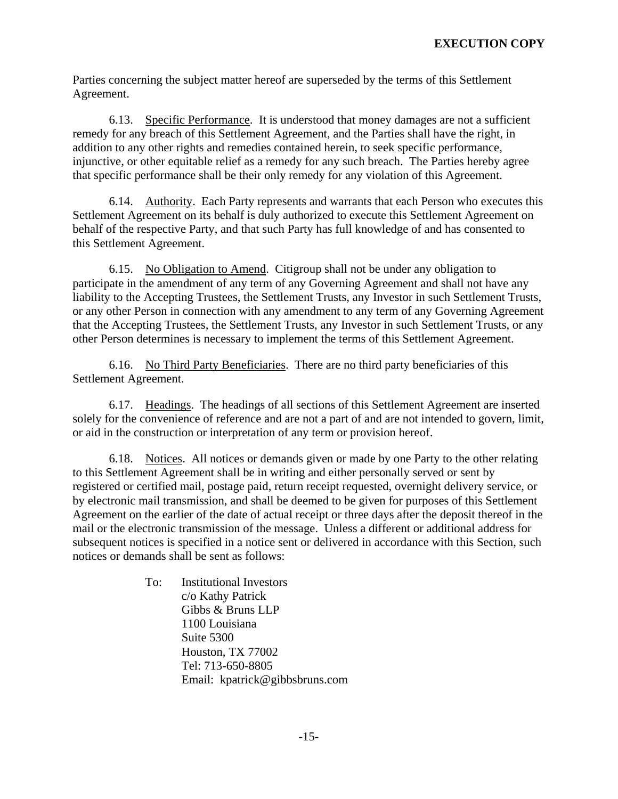Parties concerning the subject matter hereof are superseded by the terms of this Settlement Agreement.

6.13. Specific Performance. It is understood that money damages are not a sufficient remedy for any breach of this Settlement Agreement, and the Parties shall have the right, in addition to any other rights and remedies contained herein, to seek specific performance, injunctive, or other equitable relief as a remedy for any such breach. The Parties hereby agree that specific performance shall be their only remedy for any violation of this Agreement.

6.14. Authority. Each Party represents and warrants that each Person who executes this Settlement Agreement on its behalf is duly authorized to execute this Settlement Agreement on behalf of the respective Party, and that such Party has full knowledge of and has consented to this Settlement Agreement.

6.15. No Obligation to Amend. Citigroup shall not be under any obligation to participate in the amendment of any term of any Governing Agreement and shall not have any liability to the Accepting Trustees, the Settlement Trusts, any Investor in such Settlement Trusts, or any other Person in connection with any amendment to any term of any Governing Agreement that the Accepting Trustees, the Settlement Trusts, any Investor in such Settlement Trusts, or any other Person determines is necessary to implement the terms of this Settlement Agreement.

6.16. No Third Party Beneficiaries. There are no third party beneficiaries of this Settlement Agreement.

6.17. Headings. The headings of all sections of this Settlement Agreement are inserted solely for the convenience of reference and are not a part of and are not intended to govern, limit, or aid in the construction or interpretation of any term or provision hereof.

6.18. Notices. All notices or demands given or made by one Party to the other relating to this Settlement Agreement shall be in writing and either personally served or sent by registered or certified mail, postage paid, return receipt requested, overnight delivery service, or by electronic mail transmission, and shall be deemed to be given for purposes of this Settlement Agreement on the earlier of the date of actual receipt or three days after the deposit thereof in the mail or the electronic transmission of the message. Unless a different or additional address for subsequent notices is specified in a notice sent or delivered in accordance with this Section, such notices or demands shall be sent as follows:

> To: Institutional Investors c/o Kathy Patrick Gibbs & Bruns LLP 1100 Louisiana Suite 5300 Houston, TX 77002 Tel: 713-650-8805 Email: kpatrick@gibbsbruns.com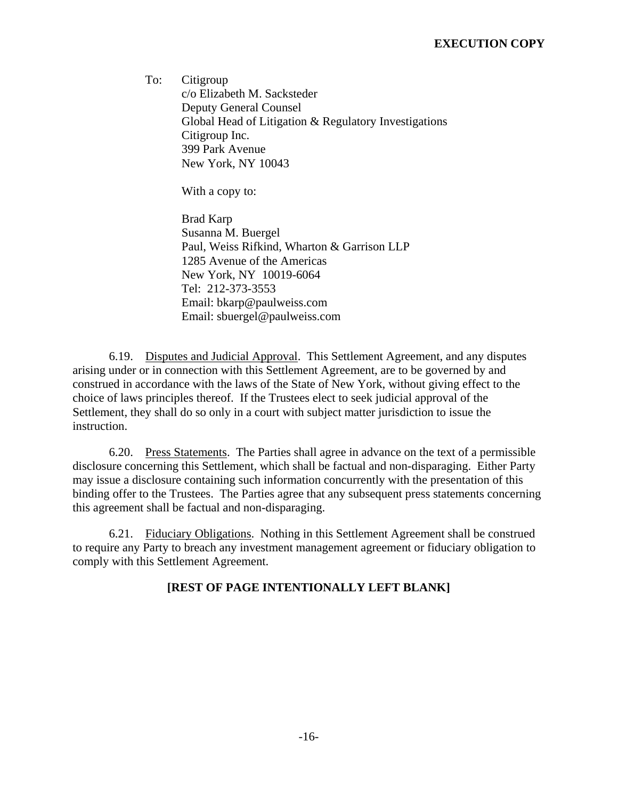To: Citigroup c/o Elizabeth M. Sacksteder Deputy General Counsel Global Head of Litigation & Regulatory Investigations Citigroup Inc. 399 Park Avenue New York, NY 10043

With a copy to:

 Brad Karp Susanna M. Buergel Paul, Weiss Rifkind, Wharton & Garrison LLP 1285 Avenue of the Americas New York, NY 10019-6064 Tel: 212-373-3553 Email: bkarp@paulweiss.com Email: sbuergel@paulweiss.com

 6.19. Disputes and Judicial Approval. This Settlement Agreement, and any disputes arising under or in connection with this Settlement Agreement, are to be governed by and construed in accordance with the laws of the State of New York, without giving effect to the choice of laws principles thereof. If the Trustees elect to seek judicial approval of the Settlement, they shall do so only in a court with subject matter jurisdiction to issue the instruction.

 6.20. Press Statements. The Parties shall agree in advance on the text of a permissible disclosure concerning this Settlement, which shall be factual and non-disparaging. Either Party may issue a disclosure containing such information concurrently with the presentation of this binding offer to the Trustees. The Parties agree that any subsequent press statements concerning this agreement shall be factual and non-disparaging.

 6.21. Fiduciary Obligations. Nothing in this Settlement Agreement shall be construed to require any Party to breach any investment management agreement or fiduciary obligation to comply with this Settlement Agreement.

# **[REST OF PAGE INTENTIONALLY LEFT BLANK]**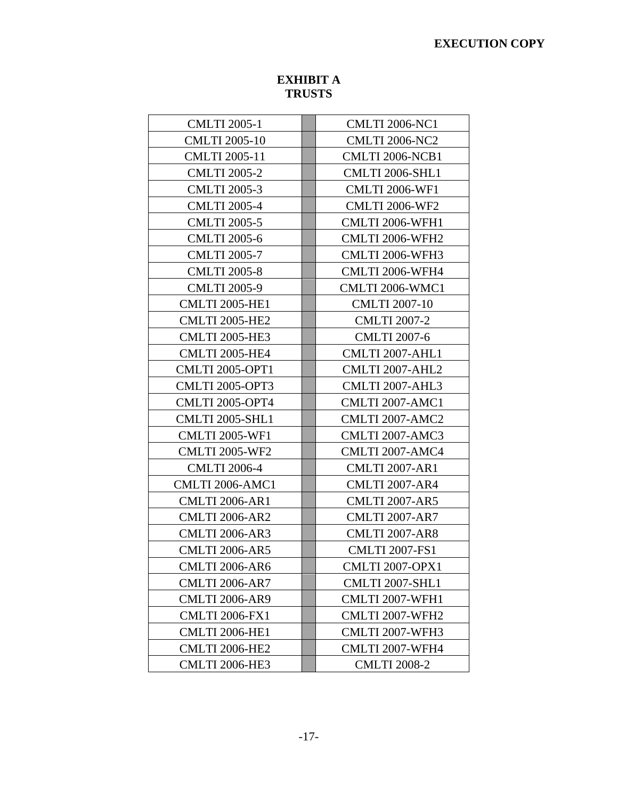# **EXECUTION COPY**

# **EXHIBIT A TRUSTS**

| <b>CMLTI 2005-1</b>    | <b>CMLTI 2006-NC1</b>  |
|------------------------|------------------------|
| <b>CMLTI 2005-10</b>   | <b>CMLTI 2006-NC2</b>  |
| <b>CMLTI 2005-11</b>   | <b>CMLTI 2006-NCB1</b> |
| <b>CMLTI 2005-2</b>    | <b>CMLTI 2006-SHL1</b> |
| <b>CMLTI 2005-3</b>    | <b>CMLTI 2006-WF1</b>  |
| <b>CMLTI 2005-4</b>    | <b>CMLTI 2006-WF2</b>  |
| <b>CMLTI 2005-5</b>    | <b>CMLTI 2006-WFH1</b> |
| <b>CMLTI 2005-6</b>    | CMLTI 2006-WFH2        |
| <b>CMLTI 2005-7</b>    | CMLTI 2006-WFH3        |
| <b>CMLTI 2005-8</b>    | CMLTI 2006-WFH4        |
| <b>CMLTI 2005-9</b>    | CMLTI 2006-WMC1        |
| <b>CMLTI 2005-HE1</b>  | <b>CMLTI 2007-10</b>   |
| <b>CMLTI 2005-HE2</b>  | <b>CMLTI 2007-2</b>    |
| <b>CMLTI 2005-HE3</b>  | <b>CMLTI 2007-6</b>    |
| <b>CMLTI 2005-HE4</b>  | CMLTI 2007-AHL1        |
| <b>CMLTI 2005-OPT1</b> | CMLTI 2007-AHL2        |
| <b>CMLTI 2005-OPT3</b> | CMLTI 2007-AHL3        |
| <b>CMLTI 2005-OPT4</b> | <b>CMLTI 2007-AMC1</b> |
| <b>CMLTI 2005-SHL1</b> | <b>CMLTI 2007-AMC2</b> |
| <b>CMLTI 2005-WF1</b>  | CMLTI 2007-AMC3        |
| <b>CMLTI 2005-WF2</b>  | CMLTI 2007-AMC4        |
| <b>CMLTI 2006-4</b>    | <b>CMLTI 2007-AR1</b>  |
| <b>CMLTI 2006-AMC1</b> | <b>CMLTI 2007-AR4</b>  |
| <b>CMLTI 2006-AR1</b>  | <b>CMLTI 2007-AR5</b>  |
| <b>CMLTI 2006-AR2</b>  | <b>CMLTI 2007-AR7</b>  |
| <b>CMLTI 2006-AR3</b>  | <b>CMLTI 2007-AR8</b>  |
| <b>CMLTI 2006-AR5</b>  | <b>CMLTI 2007-FS1</b>  |
| <b>CMLTI 2006-AR6</b>  | <b>CMLTI 2007-OPX1</b> |
| <b>CMLTI 2006-AR7</b>  | <b>CMLTI 2007-SHL1</b> |
| <b>CMLTI 2006-AR9</b>  | CMLTI 2007-WFH1        |
| <b>CMLTI 2006-FX1</b>  | CMLTI 2007-WFH2        |
| <b>CMLTI 2006-HE1</b>  | CMLTI 2007-WFH3        |
| <b>CMLTI 2006-HE2</b>  | CMLTI 2007-WFH4        |
| <b>CMLTI 2006-HE3</b>  | <b>CMLTI 2008-2</b>    |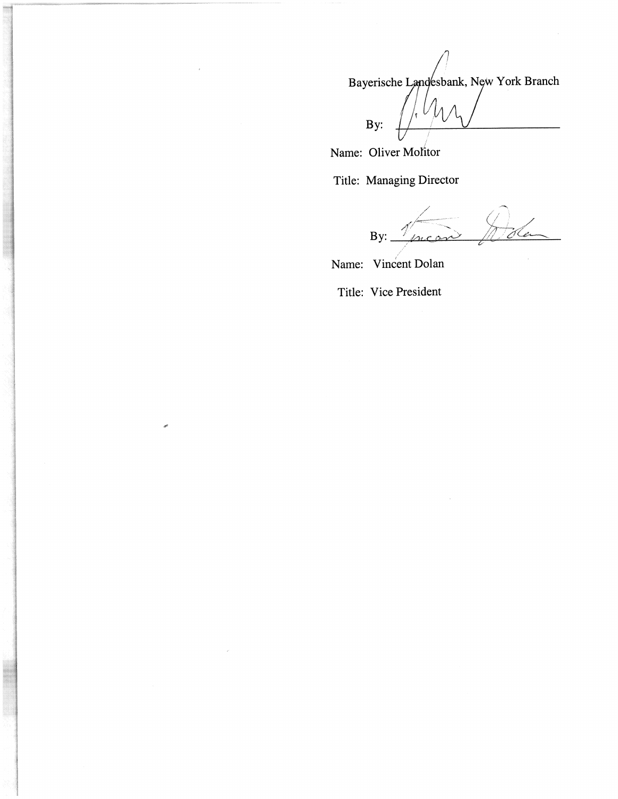Bayerische Landesbank, New York Branch  $\int_A$   $\Lambda$  $By:$ 

Name: Oliver Molitor

Title: Managing Director

da mean  $By:$ 

Name: Vincent Dolan

Title: Vice President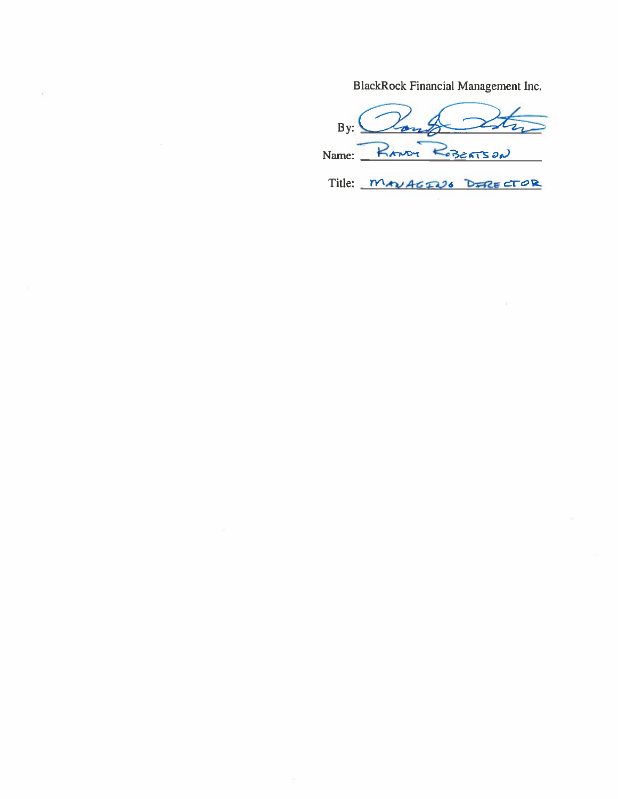BlackRock Financial Management Inc.

Vong  $By: \n\begin{cases} \n\end{cases}$ Name: RANDY ROBERTSON

ö,

Title: MAVAGING DIRECTOR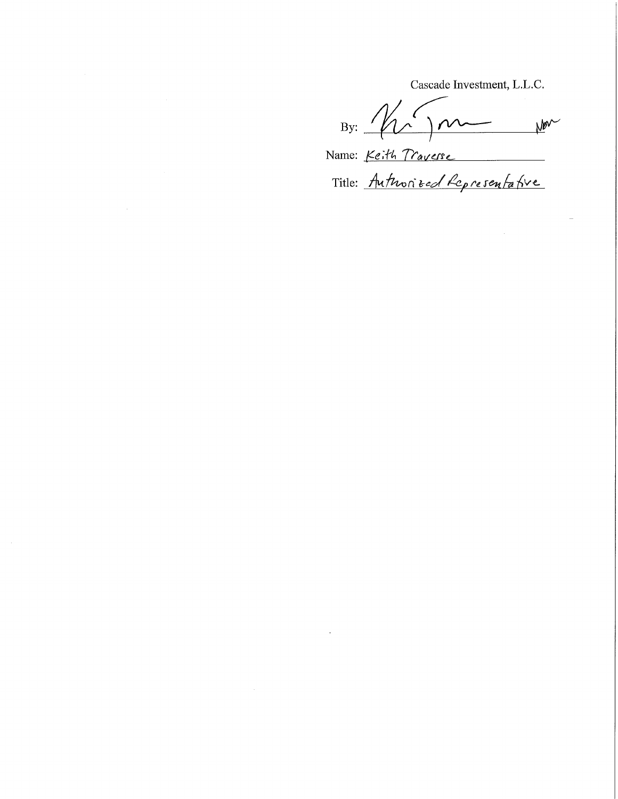Cascade Investment, L.L.C.

 $By: 10$ Non

Name: Keith Traverse

Title: Authorized Representative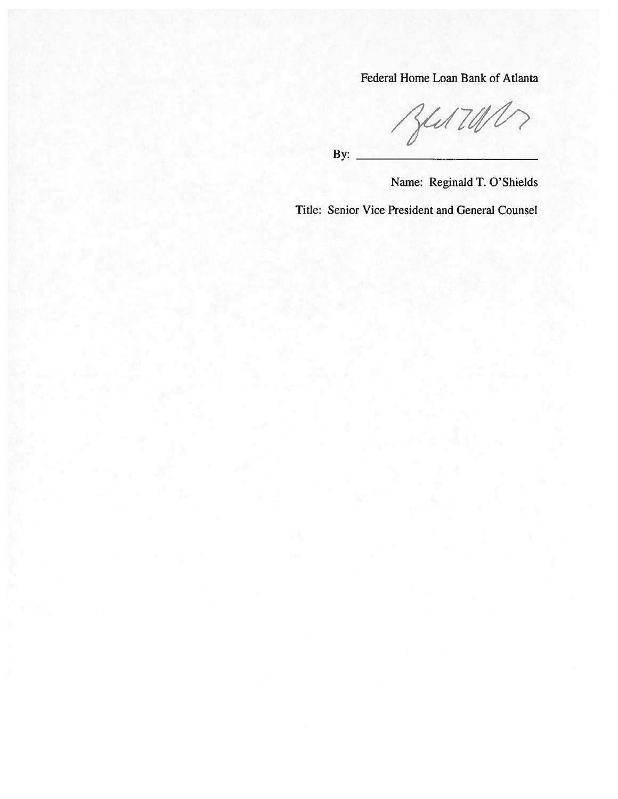Federal Home Loan Bank of Atlanta

 $341700$ 

By:

Name: Reginald T. O'Shields

Title: Senior Vice President and General Counsel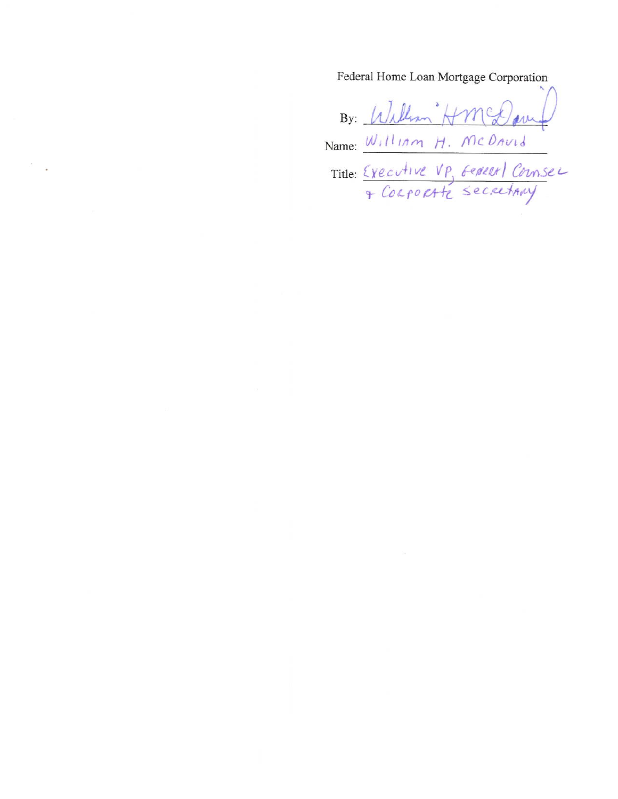Federal Home Loan Mortgage Corporation

By: William Hmed Name: William H. McDavid Title: Executive VP, General Counser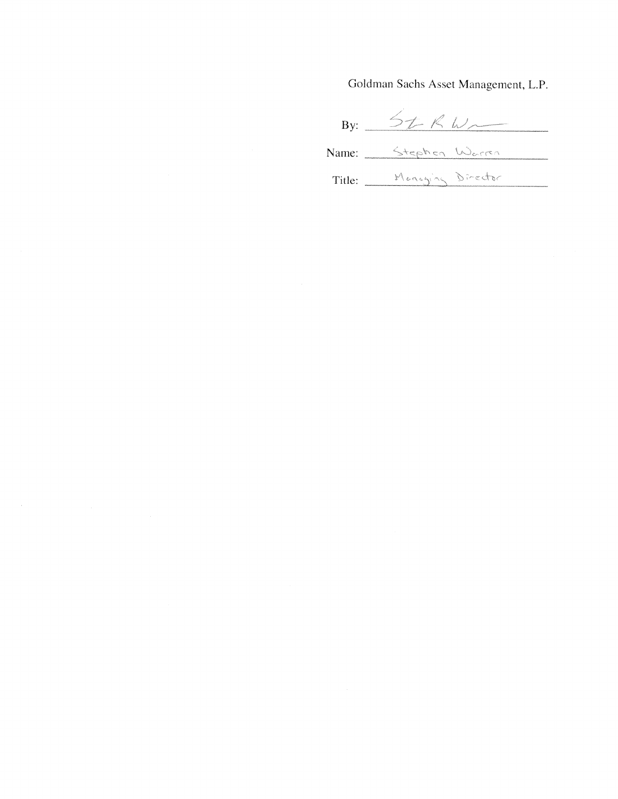Goldman Sachs Asset Management, L.P.

By:  $5tKW$ Name: Stephen Warren Title: Managing Director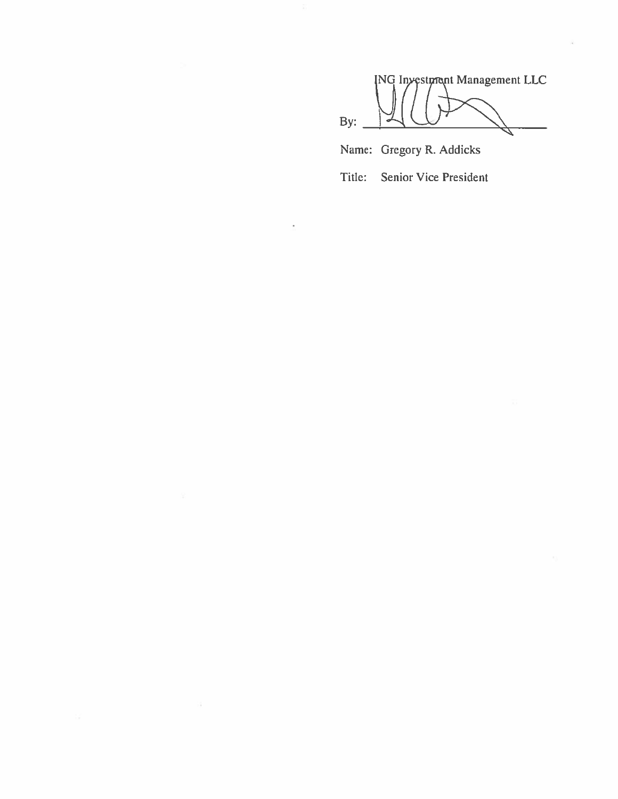**ING Investment Management LLC** By: Name: Gregory R. Addicks

**Senior Vice President** Title:

J.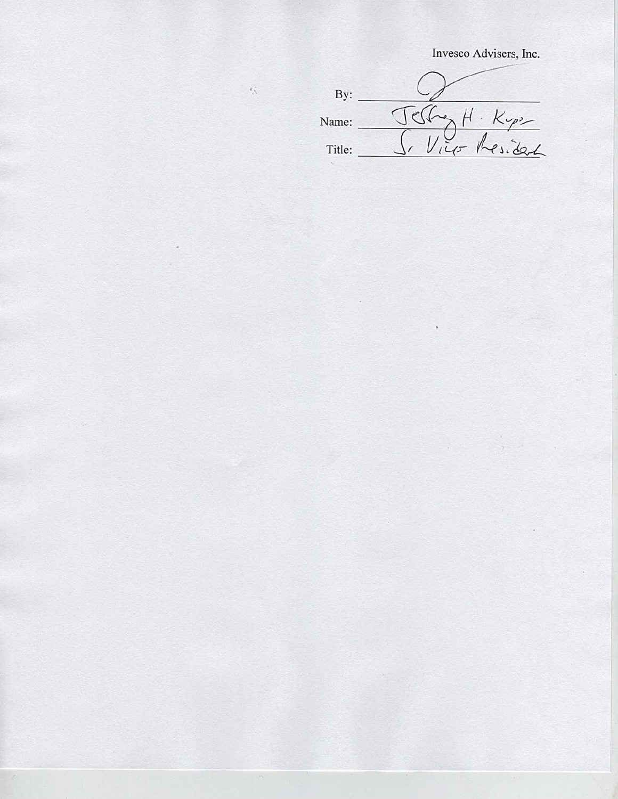Invesco Advisers, Inc.

| By:    |                  |
|--------|------------------|
| Name:  | $\sqrt{2}$       |
| Title: | 0 <sub>111</sub> |

 $\tilde{\Omega}$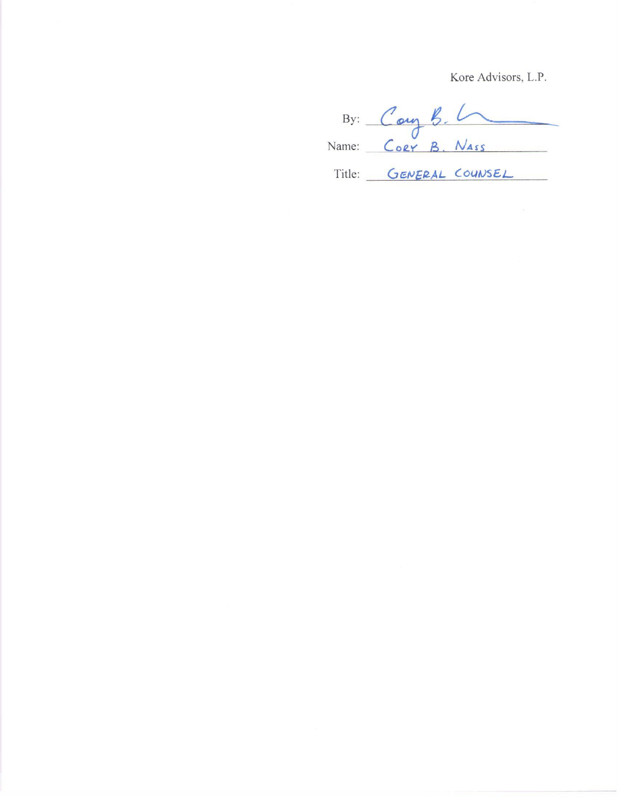Kore Advisors, L.P.

By: Cory B. L Title: GENERAL COUNSEL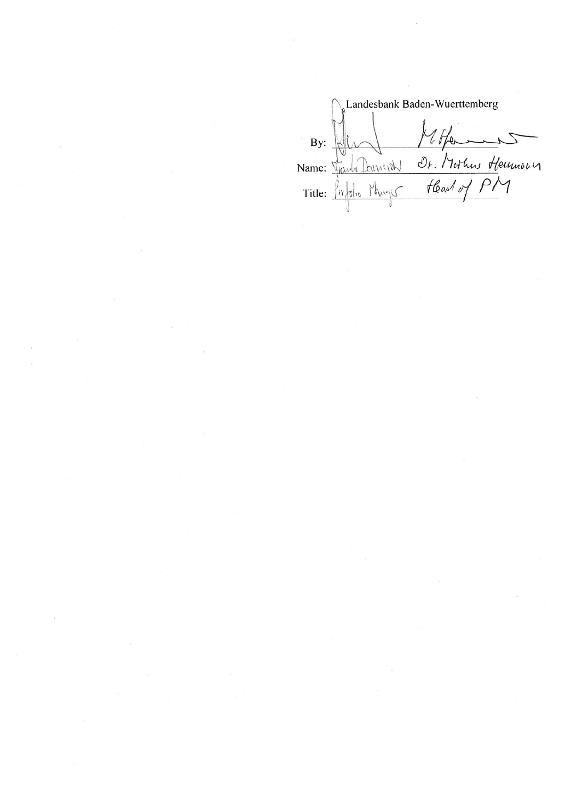Landesbank Baden-Wuerttemberg By: Who Homes of House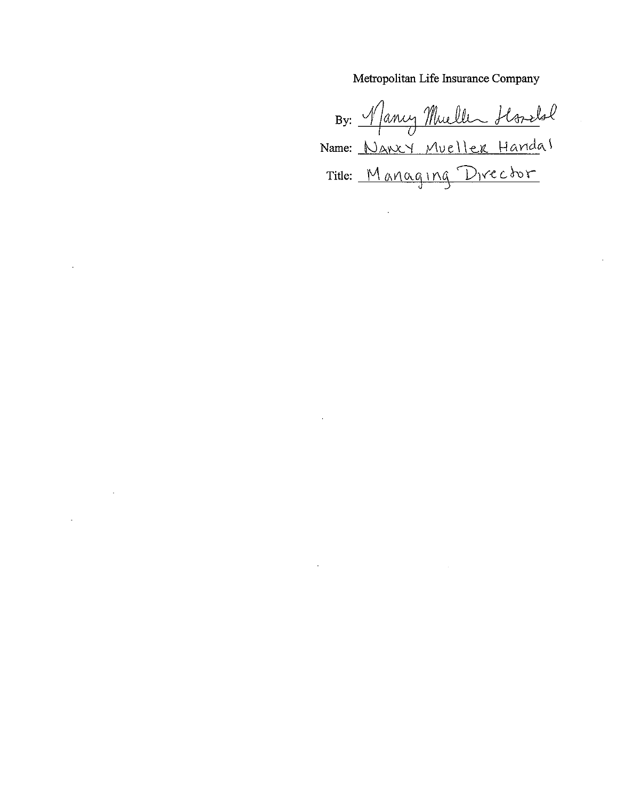Metropolitan Life Insurance Company

By: Mancy Mueller Hoselal Title: Managing Director

 $\cdot$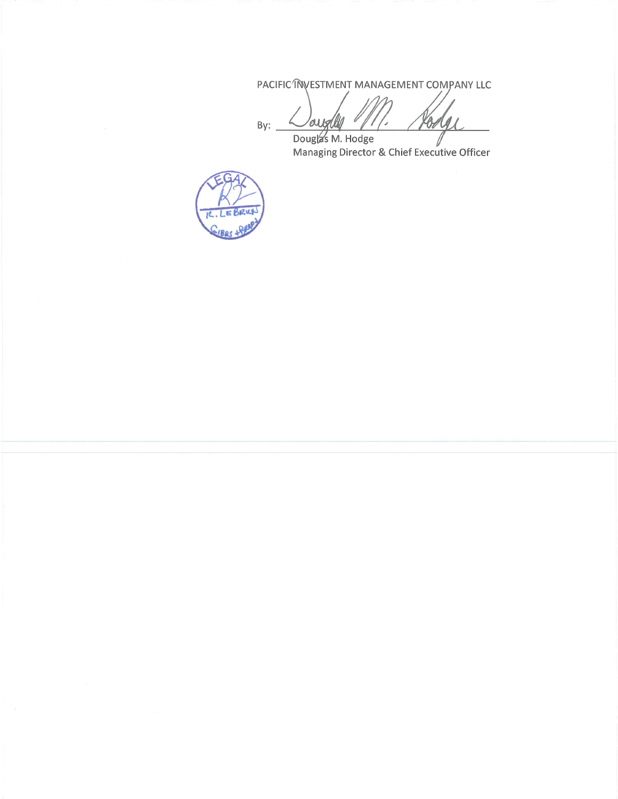PACIFIC INVESTMENT MANAGEMENT COMPANY LLC

 $By:$ aughl 10 Oz

Dougla's M. Hodge Dougla's M. Hodge<br>Managing Director & Chief Executive Officer

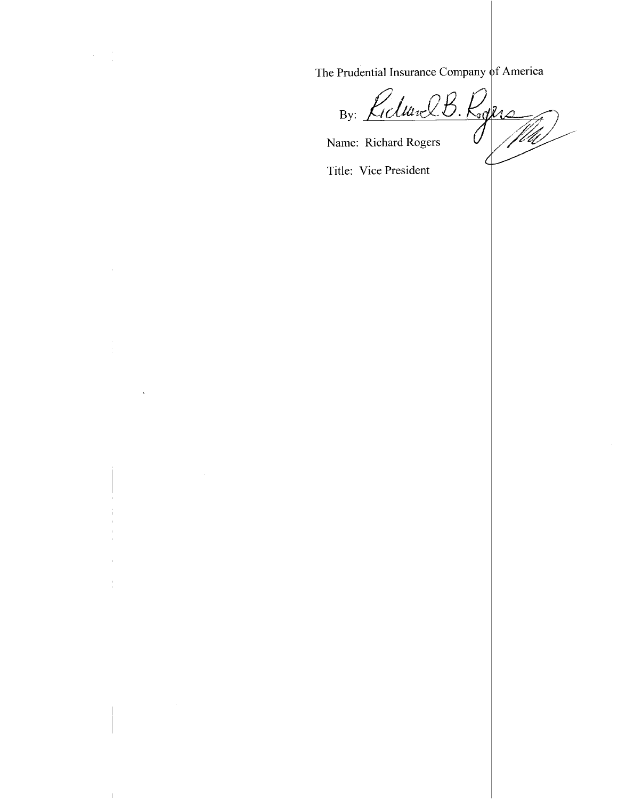The Prudential Insurance Company of America

By: Kiclunel B. Rogers

Name: Richard Rogers

Title: Vice President

 $\sim$ 

 $\overline{\phantom{a}}$ 

 $\bar{\mathbf{v}}$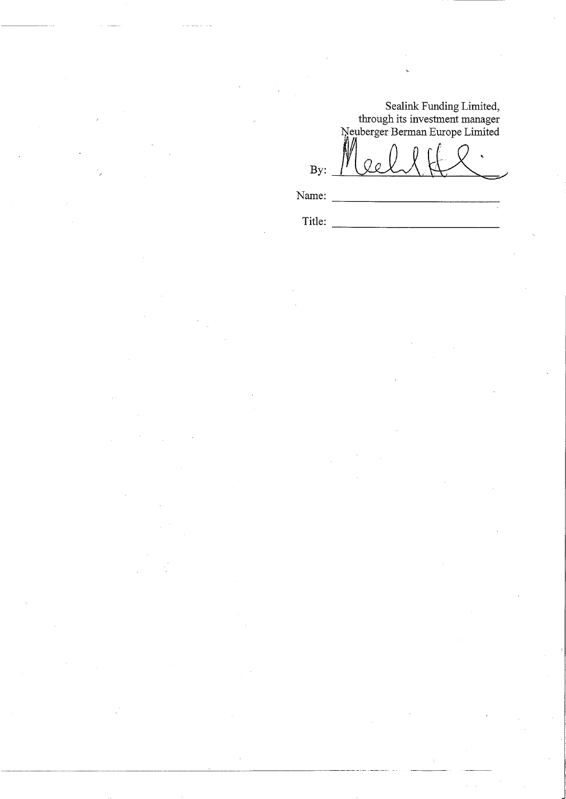Sealink Funding Limited,<br>through its investment manager<br>Neuberger Berman Europe Limited

 $By:$ 

Name:

Title: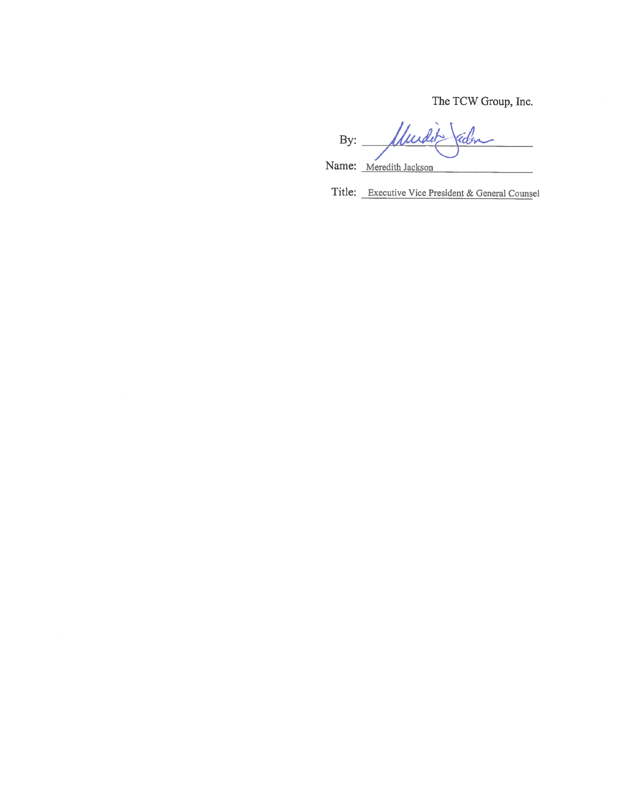The TCW Group, Inc.

Mudit By: rdo Name: Meredith Jackson

Title: Executive Vice President & General Counsel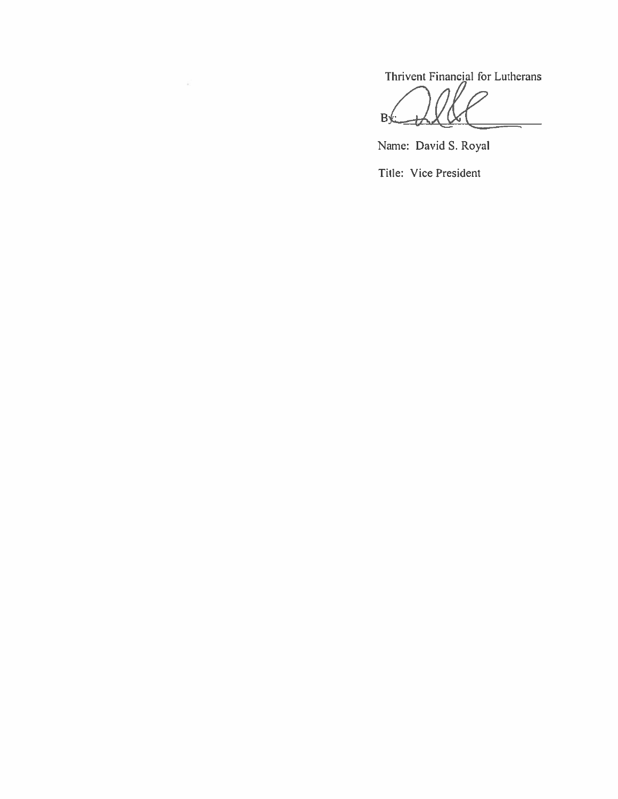Thrivent Financial for Lutherans

 $B\mathcal{L}$ Ģ

Name: David S. Royal Title: Vice President

 $\widetilde{\pi_1}$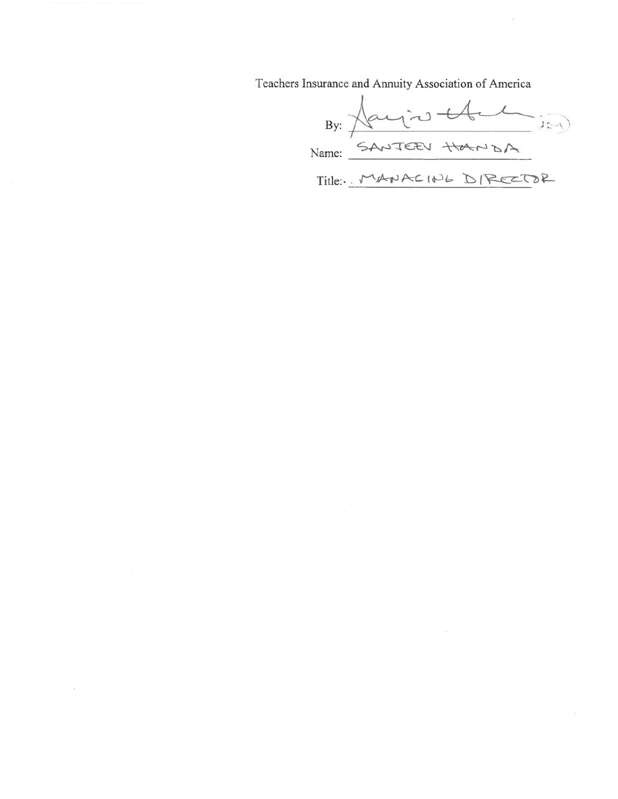Teachers Insurance and Annuity Association of America

By: Hay're than DA Title :- MANACING DIRECTOR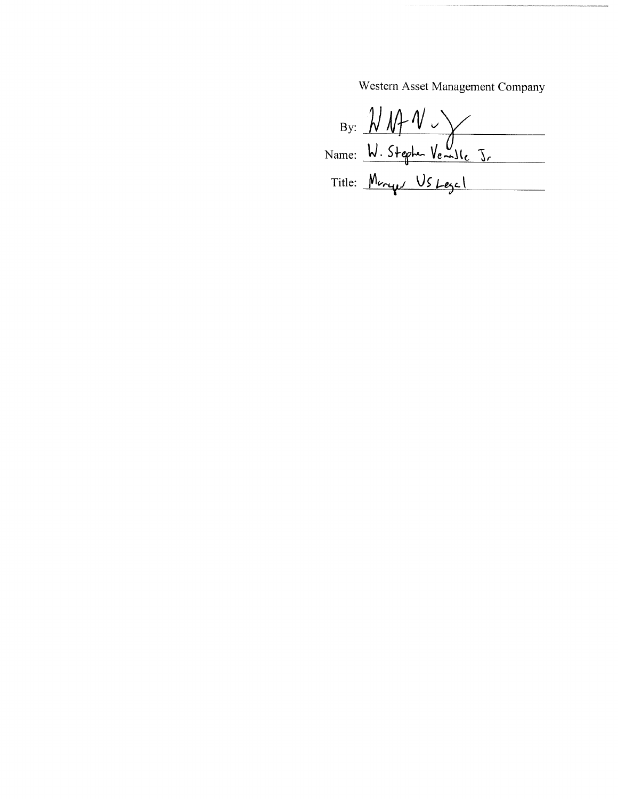Western Asset Management Company

By:  $M/M \rightarrow V$ <br>Name: W. Stephe Vemble J.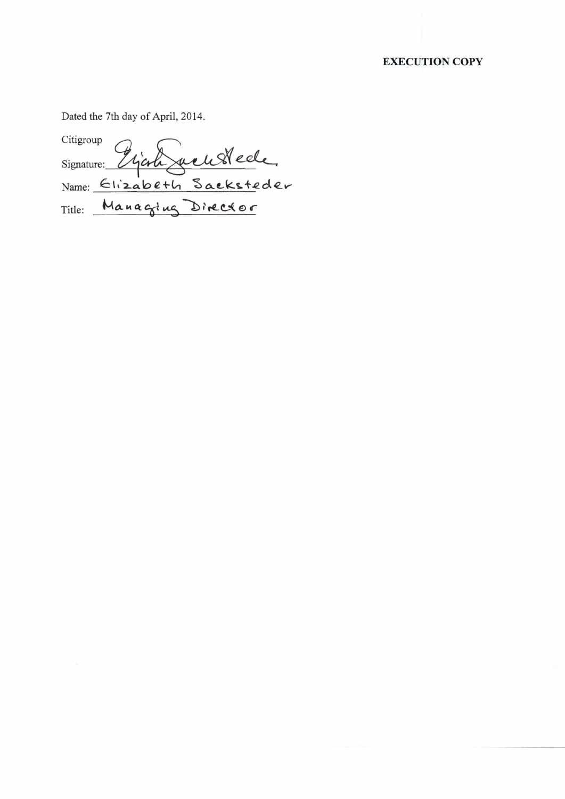# **EXECUTION COPY**

Dated the 7th day of April, 2014.

Citigroup Signature: Elizabeth Sacksteder Grich Title: Managing Director